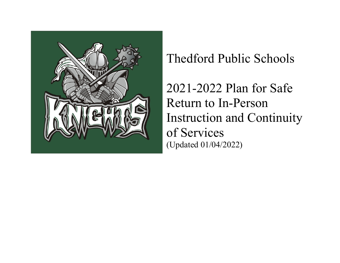

## Thedford Public Schools

2021-2022 Plan for Safe Return to In-Person Instruction and Continuity of Services (Updated 01/04/2022)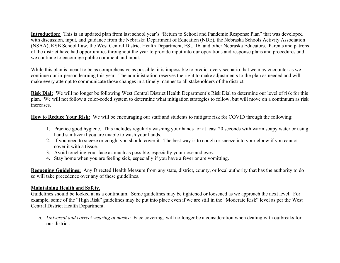**Introduction:** This is an updated plan from last school year's "Return to School and Pandemic Response Plan" that was developed with discussion, input, and guidance from the Nebraska Department of Education (NDE), the Nebraska Schools Activity Association (NSAA), KSB School Law, the West Central District Health Department, ESU 16, and other Nebraska Educators. Parents and patrons of the district have had opportunities throughout the year to provide input into our operations and response plans and procedures and we continue to encourage public comment and input.

While this plan is meant to be as comprehensive as possible, it is impossible to predict every scenario that we may encounter as we continue our in-person learning this year. The administration reserves the right to make adjustments to the plan as needed and will make every attempt to communicate those changes in a timely manner to all stakeholders of the district.

**Risk Dial:** We will no longer be following West Central District Health Department's Risk Dial to determine our level of risk for this plan. We will not follow a color-coded system to determine what mitigation strategies to follow, but will move on a continuum as risk increases.

**How to Reduce Your Risk:** We will be encouraging our staff and students to mitigate risk for COVID through the following:

- 1. Practice good hygiene. This includes regularly washing your hands for at least 20 seconds with warm soapy water or using hand sanitizer if you are unable to wash your hands.
- 2. If you need to sneeze or cough, you should cover it. The best way is to cough or sneeze into your elbow if you cannot cover it with a tissue.
- 3. Avoid touching your face as much as possible, especially your nose and eyes.
- 4. Stay home when you are feeling sick, especially if you have a fever or are vomitting.

**Reopening Guidelines:** Any Directed Health Measure from any state, district, county, or local authority that has the authority to do so will take precedence over any of these guidelines.

## **Maintaining Health and Safety.**

Guidelines should be looked at as a continuum. Some guidelines may be tightened or loosened as we approach the next level. For example, some of the "High Risk" guidelines may be put into place even if we are still in the "Moderate Risk" level as per the West Central District Health Department.

*a. Universal and correct wearing of masks:* Face coverings will no longer be a consideration when dealing with outbreaks for our district.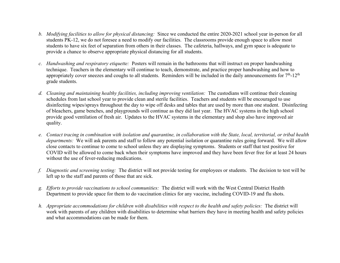- *b. Modifying facilities to allow for physical distancing:* Since we conducted the entire 2020-2021 school year in-person for all students PK-12, we do not foresee a need to modify our facilities. The classrooms provide enough space to allow most students to have six feet of separation from others in their classes. The cafeteria, hallways, and gym space is adequate to provide a chance to observe appropriate physical distancing for all students.
- *c. Handwashing and respiratory etiquette:* Posters will remain in the bathrooms that will instruct on proper handwashing technique. Teachers in the elementary will continue to teach, demonstrate, and practice proper handwashing and how to appropriately cover sneezes and coughs to all students. Reminders will be included in the daily announcements for  $7<sup>th</sup>$ -12<sup>th</sup> grade students.
- *d. Cleaning and maintaining healthy facilities, including improving ventilation:* The custodians will continue their cleaning schedules from last school year to provide clean and sterile facilities. Teachers and students will be encouraged to use disinfecting wipes/sprays throughout the day to wipe off desks and tables that are used by more than one student. Disinfecting of bleachers, game benches, and playgrounds will continue as they did last year. The HVAC systems in the high school provide good ventilation of fresh air.Updates to the HVAC systems in the elementary and shop also have improved air quality.
- *e. Contact tracing in combination with isolation and quarantine, in collaboration with the State, local, territorial, or tribal health departments:* We will ask parents and staff to follow any potential isolation or quarantine rules going forward. We will allow close contacts to continue to come to school unless they are displaying symptoms. Students or staff that test positive for COVID will be allowed to come back when their symptoms have improved and they have been fever free for at least 24 hours without the use of fever-reducing medications.
- *f. Diagnostic and screening testing:* The district will not provide testing for employees or students. The decision to test will be left up to the staff and parents of those that are sick.
- *g. Efforts to provide vaccinations to school communities:* The district will work with the West Central District Health Department to provide space for them to do vaccination clinics for any vaccine, including COVID-19 and flu shots.
- *h. Appropriate accommodations for children with disabilities with respect to the health and safety policies:* The district will work with parents of any children with disabilities to determine what barriers they have in meeting health and safety policies and what accommodations can be made for them.